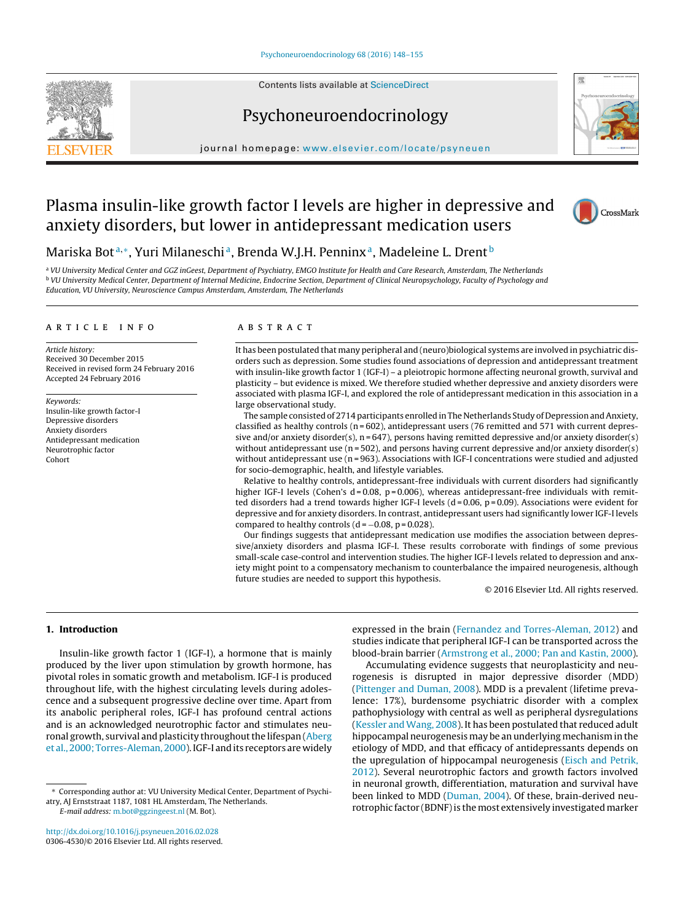Contents lists available at [ScienceDirect](http://www.sciencedirect.com/science/journal/03064530)







journal homepage: [www.elsevier.com/locate/psyneuen](http://www.elsevier.com/locate/psyneuen)

# Plasma insulin-like growth factor I levels are higher in depressive and anxiety disorders, but lower in antidepressant medication users



## Mariska Bot<sup>a,∗</sup>, Yuri Milaneschi<sup>a</sup>, Brenda W.J.H. Penninx<sup>a</sup>, Madeleine L. Drent<sup>b</sup>

a VU University Medical Center and GGZ inGeest, Department of Psychiatry, EMGO Institute for Health and Care Research, Amsterdam, The Netherlands b VU University Medical Center, Department of Internal Medicine, Endocrine Section, Department of Clinical Neuropsychology, Faculty of Psychology and Education, VU University, Neuroscience Campus Amsterdam, Amsterdam, The Netherlands

#### a r t i c l e i n f o

Article history: Received 30 December 2015 Received in revised form 24 February 2016 Accepted 24 February 2016

Keywords: Insulin-like growth factor-I Depressive disorders Anxiety disorders Antidepressant medication Neurotrophic factor Cohort

#### A B S T R A C T

It has been postulated that many peripheral and (neuro)biological systems are involved in psychiatric disorders such as depression. Some studies found associations of depression and antidepressant treatment with insulin-like growth factor 1 (IGF-I) – a pleiotropic hormone affecting neuronal growth, survival and plasticity – but evidence is mixed. We therefore studied whether depressive and anxiety disorders were associated with plasma IGF-I, and explored the role of antidepressant medication in this association in a large observational study.

The sample consisted of 2714 participants enrolled in The Netherlands Study of Depression and Anxiety, classified as healthy controls ( $n = 602$ ), antidepressant users (76 remitted and 571 with current depressive and/or anxiety disorder(s),  $n = 647$ ), persons having remitted depressive and/or anxiety disorder(s) without antidepressant use ( $n = 502$ ), and persons having current depressive and/or anxiety disorder( $s$ ) without antidepressant use ( $n = 963$ ). Associations with IGF-I concentrations were studied and adjusted for socio-demographic, health, and lifestyle variables.

Relative to healthy controls, antidepressant-free individuals with current disorders had significantly higher IGF-I levels (Cohen's  $d = 0.08$ ,  $p = 0.006$ ), whereas antidepressant-free individuals with remitted disorders had a trend towards higher IGF-I levels ( $d = 0.06$ ,  $p = 0.09$ ). Associations were evident for depressive and for anxiety disorders. In contrast, antidepressant users had significantly lower IGF-I levels compared to healthy controls  $(d = -0.08, p = 0.028)$ .

Our findings suggests that antidepressant medication use modifies the association between depressive/anxiety disorders and plasma IGF-I. These results corroborate with findings of some previous small-scale case-control and intervention studies. The higher IGF-I levels related to depression and anxiety might point to a compensatory mechanism to counterbalance the impaired neurogenesis, although future studies are needed to support this hypothesis.

© 2016 Elsevier Ltd. All rights reserved.

#### **1. Introduction**

Insulin-like growth factor 1 (IGF-I), a hormone that is mainly produced by the liver upon stimulation by growth hormone, has pivotal roles in somatic growth and metabolism. IGF-I is produced throughout life, with the highest circulating levels during adolescence and a subsequent progressive decline over time. Apart from its anabolic peripheral roles, IGF-I has profound central actions and is an acknowledged neurotrophic factor and stimulates neu-ronal growth, survival and plasticity throughout the lifespan ([Aberg](#page-6-0) et [al.,](#page-6-0) [2000;](#page-6-0) [Torres-Aleman,](#page-6-0) [2000\).](#page-6-0)IGF-I and its receptors are widely

E-mail address: [m.bot@ggzingeest.nl](mailto:m.bot@ggzingeest.nl) (M. Bot).

[http://dx.doi.org/10.1016/j.psyneuen.2016.02.028](dx.doi.org/10.1016/j.psyneuen.2016.02.028) 0306-4530/© 2016 Elsevier Ltd. All rights reserved. expressed in the brain [\(Fernandez](#page-7-0) [and](#page-7-0) [Torres-Aleman,](#page-7-0) [2012\)](#page-7-0) and studies indicate that peripheral IGF-I can be transported across the blood-brain barrier ([Armstrong](#page-6-0) et [al.,](#page-6-0) [2000;](#page-6-0) [Pan](#page-6-0) [and](#page-6-0) [Kastin,](#page-6-0) [2000\).](#page-6-0)

Accumulating evidence suggests that neuroplasticity and neurogenesis is disrupted in major depressive disorder (MDD) [\(Pittenger](#page-7-0) [and](#page-7-0) [Duman,](#page-7-0) [2008\).](#page-7-0) MDD is a prevalent (lifetime prevalence: 17%), burdensome psychiatric disorder with a complex pathophysiology with central as well as peripheral dysregulations [\(Kessler](#page-7-0) and Wang, [2008\).](#page-7-0) It has been postulated that reduced adult hippocampal neurogenesis may be an underlying mechanism in the etiology of MDD, and that efficacy of antidepressants depends on the upregulation of hippocampal neurogenesis ([Eisch](#page-7-0) [and](#page-7-0) [Petrik,](#page-7-0) [2012\).](#page-7-0) Several neurotrophic factors and growth factors involved in neuronal growth, differentiation, maturation and survival have been linked to MDD ([Duman,](#page-7-0) [2004\).](#page-7-0) Of these, brain-derived neurotrophic factor (BDNF) is the most extensively investigated marker

<sup>∗</sup> Corresponding author at: VU University Medical Center, Department of Psychiatry, AJ Ernststraat 1187, 1081 HL Amsterdam, The Netherlands.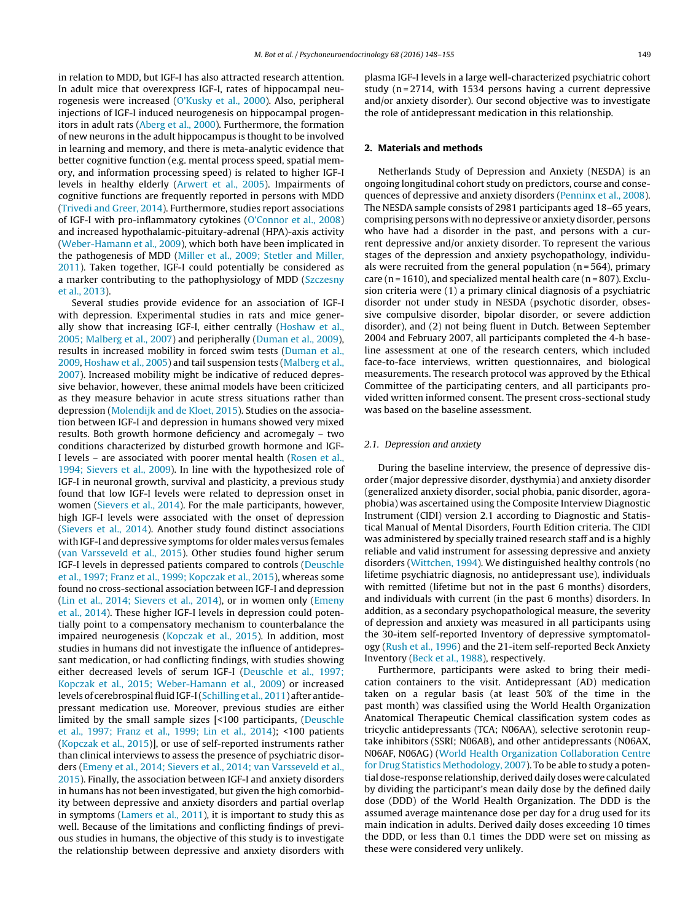in relation to MDD, but IGF-I has also attracted research attention. In adult mice that overexpress IGF-I, rates of hippocampal neurogenesis were increased [\(O'Kusky](#page-7-0) et [al.,](#page-7-0) [2000\).](#page-7-0) Also, peripheral injections of IGF-I induced neurogenesis on hippocampal progenitors in adult rats [\(Aberg](#page-6-0) et [al.,](#page-6-0) [2000\).](#page-6-0) Furthermore, the formation of new neurons in the adult hippocampus is thought to be involved in learning and memory, and there is meta-analytic evidence that better cognitive function (e.g. mental process speed, spatial memory, and information processing speed) is related to higher IGF-I levels in healthy elderly [\(Arwert](#page-6-0) et [al.,](#page-6-0) [2005\).](#page-6-0) Impairments of cognitive functions are frequently reported in persons with MDD ([Trivedi](#page-7-0) [and](#page-7-0) [Greer,](#page-7-0) [2014\).](#page-7-0) Furthermore, studies report associations of IGF-I with pro-inflammatory cytokines [\(O'Connor](#page-7-0) et [al.,](#page-7-0) [2008\)](#page-7-0) and increased hypothalamic-pituitary-adrenal (HPA)-axis activity ([Weber-Hamann](#page-7-0) et [al.,](#page-7-0) [2009\),](#page-7-0) which both have been implicated in the pathogenesis of MDD [\(Miller](#page-7-0) et [al.,](#page-7-0) [2009;](#page-7-0) [Stetler](#page-7-0) [and](#page-7-0) [Miller,](#page-7-0) [2011\).](#page-7-0) Taken together, IGF-I could potentially be considered as a marker contributing to the pathophysiology of MDD [\(Szczesny](#page-7-0) et [al.,](#page-7-0) [2013\).](#page-7-0)

Several studies provide evidence for an association of IGF-I with depression. Experimental studies in rats and mice generally show that increasing IGF-I, either centrally ([Hoshaw](#page-7-0) et [al.,](#page-7-0) [2005;](#page-7-0) [Malberg](#page-7-0) et [al.,](#page-7-0) [2007\)](#page-7-0) and peripherally [\(Duman](#page-7-0) et [al.,](#page-7-0) [2009\),](#page-7-0) results in increased mobility in forced swim tests [\(Duman](#page-7-0) et [al.,](#page-7-0) [2009,](#page-7-0) [Hoshaw](#page-7-0) et [al.,](#page-7-0) [2005\)](#page-7-0) and tail suspension tests [\(Malberg](#page-7-0) et [al.,](#page-7-0) [2007\).](#page-7-0) Increased mobility might be indicative of reduced depressive behavior, however, these animal models have been criticized as they measure behavior in acute stress situations rather than depression [\(Molendijk](#page-7-0) [and](#page-7-0) [de](#page-7-0) [Kloet,](#page-7-0) [2015\).](#page-7-0) Studies on the association between IGF-I and depression in humans showed very mixed results. Both growth hormone deficiency and acromegaly – two conditions characterized by disturbed growth hormone and IGF-I levels – are associated with poorer mental health [\(Rosen](#page-7-0) et [al.,](#page-7-0) [1994;](#page-7-0) [Sievers](#page-7-0) et [al.,](#page-7-0) [2009\).](#page-7-0) In line with the hypothesized role of IGF-I in neuronal growth, survival and plasticity, a previous study found that low IGF-I levels were related to depression onset in women [\(Sievers](#page-7-0) et [al.,](#page-7-0) [2014\).](#page-7-0) For the male participants, however, high IGF-I levels were associated with the onset of depression ([Sievers](#page-7-0) et [al.,](#page-7-0) [2014\).](#page-7-0) Another study found distinct associations with IGF-I and depressive symptoms for older males versus females ([van](#page-7-0) [Varsseveld](#page-7-0) et [al.,](#page-7-0) [2015\).](#page-7-0) Other studies found higher serum IGF-I levels in depressed patients compared to controls [\(Deuschle](#page-6-0) et [al.,](#page-6-0) [1997;](#page-6-0) [Franz](#page-6-0) et [al.,](#page-6-0) [1999;](#page-6-0) [Kopczak](#page-6-0) et [al.,](#page-6-0) [2015\),](#page-6-0) whereas some found no cross-sectional association between IGF-I and depression ([Lin](#page-7-0) et [al.,](#page-7-0) [2014;](#page-7-0) [Sievers](#page-7-0) et [al.,](#page-7-0) [2014\),](#page-7-0) or in women only ([Emeny](#page-7-0) et [al.,](#page-7-0) [2014\).](#page-7-0) These higher IGF-I levels in depression could potentially point to a compensatory mechanism to counterbalance the impaired neurogenesis [\(Kopczak](#page-7-0) et [al.,](#page-7-0) [2015\).](#page-7-0) In addition, most studies in humans did not investigate the influence of antidepressant medication, or had conflicting findings, with studies showing either decreased levels of serum IGF-I ([Deuschle](#page-6-0) et [al.,](#page-6-0) [1997;](#page-6-0) [Kopczak](#page-6-0) et [al.,](#page-6-0) [2015;](#page-6-0) [Weber-Hamann](#page-6-0) et [al.,](#page-6-0) [2009\)](#page-6-0) or increased levels of cerebrospinal fluid IGF-I [\(Schilling](#page-7-0) et [al.,](#page-7-0) [2011\)](#page-7-0) after antidepressant medication use. Moreover, previous studies are either limited by the small sample sizes [<100 participants, [\(Deuschle](#page-6-0) et [al.,](#page-6-0) [1997;](#page-6-0) [Franz](#page-6-0) et [al.,](#page-6-0) [1999;](#page-6-0) [Lin](#page-6-0) et [al.,](#page-6-0) [2014\);](#page-6-0) <100 patients ([Kopczak](#page-7-0) et [al.,](#page-7-0) [2015\)\]](#page-7-0), or use of self-reported instruments rather than clinical interviews to assess the presence of psychiatric disorders [\(Emeny](#page-7-0) et [al.,](#page-7-0) [2014;](#page-7-0) [Sievers](#page-7-0) et [al.,](#page-7-0) [2014;](#page-7-0) [van](#page-7-0) [Varsseveld](#page-7-0) et [al.,](#page-7-0) [2015\).](#page-7-0) Finally, the association between IGF-I and anxiety disorders in humans has not been investigated, but given the high comorbidity between depressive and anxiety disorders and partial overlap in symptoms [\(Lamers](#page-7-0) et [al.,](#page-7-0) [2011\),](#page-7-0) it is important to study this as well. Because of the limitations and conflicting findings of previous studies in humans, the objective of this study is to investigate the relationship between depressive and anxiety disorders with plasma IGF-I levels in a large well-characterized psychiatric cohort study (n = 2714, with 1534 persons having a current depressive and/or anxiety disorder). Our second objective was to investigate the role of antidepressant medication in this relationship.

#### **2. Materials and methods**

Netherlands Study of Depression and Anxiety (NESDA) is an ongoing longitudinal cohort study on predictors, course and consequences of depressive and anxiety disorders ([Penninx](#page-7-0) et [al.,](#page-7-0) [2008\).](#page-7-0) The NESDA sample consists of 2981 participants aged 18–65 years, comprising persons with no depressive or anxiety disorder, persons who have had a disorder in the past, and persons with a current depressive and/or anxiety disorder. To represent the various stages of the depression and anxiety psychopathology, individuals were recruited from the general population ( $n = 564$ ), primary care ( $n = 1610$ ), and specialized mental health care ( $n = 807$ ). Exclusion criteria were (1) a primary clinical diagnosis of a psychiatric disorder not under study in NESDA (psychotic disorder, obsessive compulsive disorder, bipolar disorder, or severe addiction disorder), and (2) not being fluent in Dutch. Between September 2004 and February 2007, all participants completed the 4-h baseline assessment at one of the research centers, which included face-to-face interviews, written questionnaires, and biological measurements. The research protocol was approved by the Ethical Committee of the participating centers, and all participants provided written informed consent. The present cross-sectional study was based on the baseline assessment.

#### 2.1. Depression and anxiety

During the baseline interview, the presence of depressive disorder (major depressive disorder, dysthymia) and anxiety disorder (generalized anxiety disorder, social phobia, panic disorder, agoraphobia) was ascertained using the Composite Interview Diagnostic Instrument (CIDI) version 2.1 according to Diagnostic and Statistical Manual of Mental Disorders, Fourth Edition criteria. The CIDI was administered by specially trained research staff and is a highly reliable and valid instrument for assessing depressive and anxiety disorders ([Wittchen,](#page-7-0) [1994\).](#page-7-0) We distinguished healthy controls (no lifetime psychiatric diagnosis, no antidepressant use), individuals with remitted (lifetime but not in the past 6 months) disorders, and individuals with current (in the past 6 months) disorders. In addition, as a secondary psychopathological measure, the severity of depression and anxiety was measured in all participants using the 30-item self-reported Inventory of depressive symptomatology [\(Rush](#page-7-0) et [al.,](#page-7-0) [1996\)](#page-7-0) and the 21-item self-reported Beck Anxiety Inventory ([Beck](#page-6-0) et [al.,](#page-6-0) [1988\),](#page-6-0) respectively.

Furthermore, participants were asked to bring their medication containers to the visit. Antidepressant (AD) medication taken on a regular basis (at least 50% of the time in the past month) was classified using the World Health Organization Anatomical Therapeutic Chemical classification system codes as tricyclic antidepressants (TCA; N06AA), selective serotonin reuptake inhibitors (SSRI; N06AB), and other antidepressants (N06AX, N06AF, N06AG) ([World](#page-7-0) [Health](#page-7-0) [Organization](#page-7-0) [Collaboration](#page-7-0) [Centre](#page-7-0) [for](#page-7-0) [Drug](#page-7-0) [Statistics](#page-7-0) [Methodology,](#page-7-0) [2007\).](#page-7-0) To be able to study a potential dose-response relationship, derived daily doses were calculated by dividing the participant's mean daily dose by the defined daily dose (DDD) of the World Health Organization. The DDD is the assumed average maintenance dose per day for a drug used for its main indication in adults. Derived daily doses exceeding 10 times the DDD, or less than 0.1 times the DDD were set on missing as these were considered very unlikely.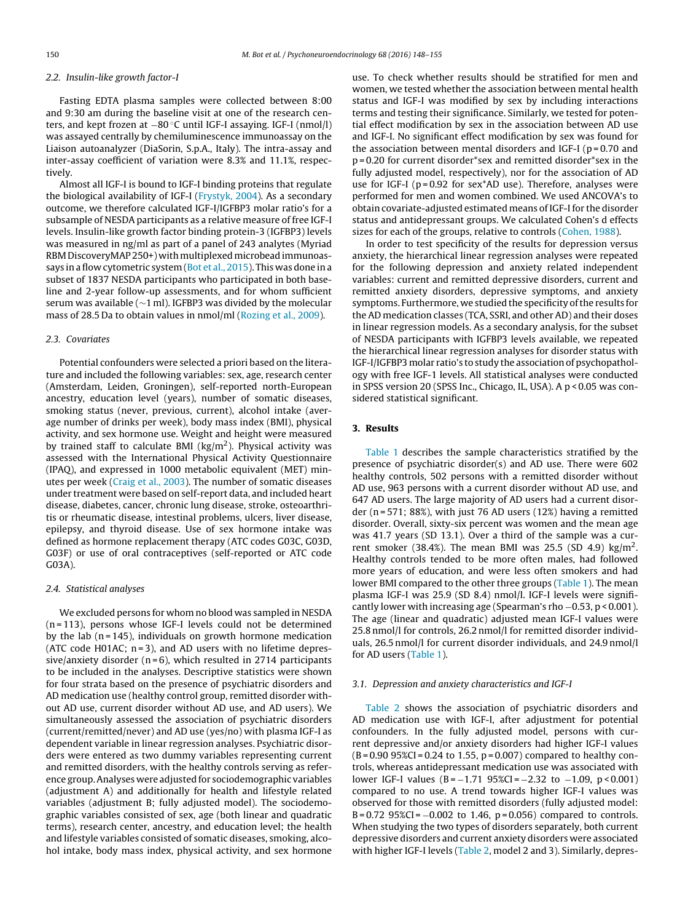#### 2.2. Insulin-like growth factor-I

Fasting EDTA plasma samples were collected between 8:00 and 9:30 am during the baseline visit at one of the research centers, and kept frozen at −80 ◦C until IGF-I assaying. IGF-I (nmol/l) was assayed centrally by chemiluminescence immunoassay on the Liaison autoanalyzer (DiaSorin, S.p.A., Italy). The intra-assay and inter-assay coefficient of variation were 8.3% and 11.1%, respectively.

Almost all IGF-I is bound to IGF-I binding proteins that regulate the biological availability of IGF-I [\(Frystyk,](#page-7-0) [2004\).](#page-7-0) As a secondary outcome, we therefore calculated IGF-I/IGFBP3 molar ratio's for a subsample of NESDA participants as a relative measure of free IGF-I levels. Insulin-like growth factor binding protein-3 (IGFBP3) levels was measured in ng/ml as part of a panel of 243 analytes (Myriad RBM DiscoveryMAP 250+) with multiplexed microbead immunoassays in a flow cytometric system [\(Bot](#page-6-0) et [al.,](#page-6-0) [2015\).](#page-6-0) This was done in a subset of 1837 NESDA participants who participated in both baseline and 2-year follow-up assessments, and for whom sufficient serum was available (∼1 ml). IGFBP3 was divided by the molecular mass of 28.5 Da to obtain values in nmol/ml [\(Rozing](#page-7-0) et [al.,](#page-7-0) [2009\).](#page-7-0)

#### 2.3. Covariates

Potential confounders were selected a priori based on the literature and included the following variables: sex, age, research center (Amsterdam, Leiden, Groningen), self-reported north-European ancestry, education level (years), number of somatic diseases, smoking status (never, previous, current), alcohol intake (average number of drinks per week), body mass index (BMI), physical activity, and sex hormone use. Weight and height were measured by trained staff to calculate BMI ( $\text{kg/m}^2$ ). Physical activity was assessed with the International Physical Activity Questionnaire (IPAQ), and expressed in 1000 metabolic equivalent (MET) minutes per week ([Craig](#page-6-0) et [al.,](#page-6-0) [2003\).](#page-6-0) The number of somatic diseases under treatment were based on self-report data, and included heart disease, diabetes, cancer, chronic lung disease, stroke, osteoarthritis or rheumatic disease, intestinal problems, ulcers, liver disease, epilepsy, and thyroid disease. Use of sex hormone intake was defined as hormone replacement therapy (ATC codes G03C, G03D, G03F) or use of oral contraceptives (self-reported or ATC code G03A).

#### 2.4. Statistical analyses

We excluded persons for whom no blood was sampled in NESDA (n = 113), persons whose IGF-I levels could not be determined by the lab ( $n = 145$ ), individuals on growth hormone medication (ATC code H01AC;  $n = 3$ ), and AD users with no lifetime depressive/anxiety disorder ( $n = 6$ ), which resulted in 2714 participants to be included in the analyses. Descriptive statistics were shown for four strata based on the presence of psychiatric disorders and AD medication use (healthy control group, remitted disorder without AD use, current disorder without AD use, and AD users). We simultaneously assessed the association of psychiatric disorders (current/remitted/never) and AD use (yes/no) with plasma IGF-I as dependent variable in linear regression analyses. Psychiatric disorders were entered as two dummy variables representing current and remitted disorders, with the healthy controls serving as reference group.Analyses were adjusted for sociodemographic variables (adjustment A) and additionally for health and lifestyle related variables (adjustment B; fully adjusted model). The sociodemographic variables consisted of sex, age (both linear and quadratic terms), research center, ancestry, and education level; the health and lifestyle variables consisted of somatic diseases, smoking, alcohol intake, body mass index, physical activity, and sex hormone

use. To check whether results should be stratified for men and women, we tested whether the association between mental health status and IGF-I was modified by sex by including interactions terms and testing their significance. Similarly, we tested for potential effect modification by sex in the association between AD use and IGF-I. No significant effect modification by sex was found for the association between mental disorders and IGF-I ( $p = 0.70$  and p = 0.20 for current disorder\*sex and remitted disorder\*sex in the fully adjusted model, respectively), nor for the association of AD use for IGF-I ( $p = 0.92$  for sex\*AD use). Therefore, analyses were performed for men and women combined. We used ANCOVA's to obtain covariate-adjusted estimated means of IGF-I for the disorder status and antidepressant groups. We calculated Cohen's d effects sizes for each of the groups, relative to controls ([Cohen,](#page-6-0) [1988\).](#page-6-0)

In order to test specificity of the results for depression versus anxiety, the hierarchical linear regression analyses were repeated for the following depression and anxiety related independent variables: current and remitted depressive disorders, current and remitted anxiety disorders, depressive symptoms, and anxiety symptoms. Furthermore, we studied the specificity of the results for the AD medication classes (TCA, SSRI, and other AD) and their doses in linear regression models. As a secondary analysis, for the subset of NESDA participants with IGFBP3 levels available, we repeated the hierarchical linear regression analyses for disorder status with IGF-I/IGFBP3 molar ratio's to study the association of psychopathology with free IGF-1 levels. All statistical analyses were conducted in SPSS version 20 (SPSS Inc., Chicago, IL, USA). A p < 0.05 was considered statistical significant.

#### **3. Results**

[Table](#page-3-0) 1 describes the sample characteristics stratified by the presence of psychiatric disorder(s) and AD use. There were 602 healthy controls, 502 persons with a remitted disorder without AD use, 963 persons with a current disorder without AD use, and 647 AD users. The large majority of AD users had a current disorder  $(n = 571; 88%)$ , with just 76 AD users  $(12%)$  having a remitted disorder. Overall, sixty-six percent was women and the mean age was 41.7 years (SD 13.1). Over a third of the sample was a current smoker (38.4%). The mean BMI was 25.5 (SD 4.9) kg/m<sup>2</sup>. Healthy controls tended to be more often males, had followed more years of education, and were less often smokers and had lower BMI compared to the other three groups ([Table](#page-3-0) 1). The mean plasma IGF-I was 25.9 (SD 8.4) nmol/l. IGF-I levels were significantly lower with increasing age (Spearman's rho −0.53, p < 0.001). The age (linear and quadratic) adjusted mean IGF-I values were 25.8 nmol/l for controls, 26.2 nmol/l for remitted disorder individuals, 26.5 nmol/l for current disorder individuals, and 24.9 nmol/l for AD users [\(Table](#page-3-0) 1).

#### 3.1. Depression and anxiety characteristics and IGF-I

[Table](#page-4-0) 2 shows the association of psychiatric disorders and AD medication use with IGF-I, after adjustment for potential confounders. In the fully adjusted model, persons with current depressive and/or anxiety disorders had higher IGF-I values  $(B = 0.90 \, 95\% CI = 0.24$  to 1.55,  $p = 0.007$  compared to healthy controls, whereas antidepressant medication use was associated with lower IGF-I values (B =  $-1.71$  95%CI =  $-2.32$  to  $-1.09$ , p < 0.001) compared to no use. A trend towards higher IGF-I values was observed for those with remitted disorders (fully adjusted model: B=0.72 95%CI = −0.002 to 1.46, p=0.056) compared to controls. When studying the two types of disorders separately, both current depressive disorders and current anxiety disorders were associated with higher IGF-I levels ([Table](#page-4-0) 2, model 2 and 3). Similarly, depres-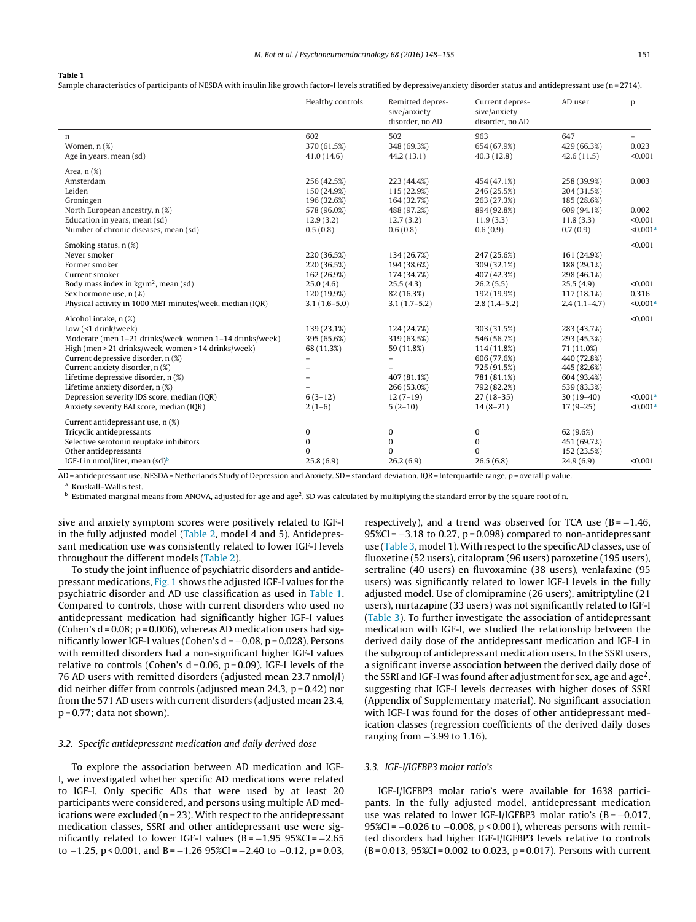<span id="page-3-0"></span>**Table 1**

Sample characteristics of participants of NESDA with insulin like growth factor-I levels stratified by depressive/anxiety disorder status and antidepressant use (n = 2714).

|                                                          | Healthy controls         | Remitted depres-<br>sive/anxiety<br>disorder, no AD | Current depres-<br>sive/anxiety<br>disorder, no AD | AD user        | p                    |
|----------------------------------------------------------|--------------------------|-----------------------------------------------------|----------------------------------------------------|----------------|----------------------|
| n                                                        | 602                      | 502                                                 | 963                                                | 647            |                      |
| Women, $n$ $(\%)$                                        | 370 (61.5%)              | 348 (69.3%)                                         | 654 (67.9%)                                        | 429 (66.3%)    | 0.023                |
| Age in years, mean (sd)                                  | 41.0(14.6)               | 44.2(13.1)                                          | 40.3(12.8)                                         | 42.6(11.5)     | < 0.001              |
| Area, $n$ $(\%)$                                         |                          |                                                     |                                                    |                |                      |
| Amsterdam                                                | 256 (42.5%)              | 223 (44.4%)                                         | 454 (47.1%)                                        | 258 (39.9%)    | 0.003                |
| Leiden                                                   | 150 (24.9%)              | 115 (22.9%)                                         | 246 (25.5%)                                        | 204 (31.5%)    |                      |
| Groningen                                                | 196 (32.6%)              | 164 (32.7%)                                         | 263 (27.3%)                                        | 185 (28.6%)    |                      |
| North European ancestry, n (%)                           | 578 (96.0%)              | 488 (97.2%)                                         | 894 (92.8%)                                        | 609 (94.1%)    | 0.002                |
| Education in years, mean (sd)                            | 12.9(3.2)                | 12.7(3.2)                                           | 11.9(3.3)                                          | 11.8(3.3)      | < 0.001              |
| Number of chronic diseases, mean (sd)                    | 0.5(0.8)                 | 0.6(0.8)                                            | 0.6(0.9)                                           | 0.7(0.9)       | < 0.001 <sup>a</sup> |
| Smoking status, n (%)                                    |                          |                                                     |                                                    |                | < 0.001              |
| Never smoker                                             | 220 (36.5%)              | 134 (26.7%)                                         | 247 (25.6%)                                        | 161 (24.9%)    |                      |
| Former smoker                                            | 220 (36.5%)              | 194 (38.6%)                                         | 309 (32.1%)                                        | 188 (29.1%)    |                      |
| Current smoker                                           | 162 (26.9%)              | 174 (34.7%)                                         | 407 (42.3%)                                        | 298 (46.1%)    |                      |
| Body mass index in $\text{kg/m}^2$ , mean (sd)           | 25.0(4.6)                | 25.5(4.3)                                           | 26.2(5.5)                                          | 25.5(4.9)      | < 0.001              |
| Sex hormone use, n (%)                                   | 120 (19.9%)              | 82 (16.3%)                                          | 192 (19.9%)                                        | 117 (18.1%)    | 0.316                |
| Physical activity in 1000 MET minutes/week, median (IQR) | $3.1(1.6-5.0)$           | $3.1(1.7-5.2)$                                      | $2.8(1.4-5.2)$                                     | $2.4(1.1-4.7)$ | < 0.001 <sup>a</sup> |
| Alcohol intake, n (%)                                    |                          |                                                     |                                                    |                | < 0.001              |
| Low (<1 drink/week)                                      | 139 (23.1%)              | 124 (24.7%)                                         | 303 (31.5%)                                        | 283 (43.7%)    |                      |
| Moderate (men 1-21 drinks/week, women 1-14 drinks/week)  | 395 (65.6%)              | 319 (63.5%)                                         | 546 (56.7%)                                        | 293 (45.3%)    |                      |
| High (men > 21 drinks/week, women > 14 drinks/week)      | 68 (11.3%)               | 59 (11.8%)                                          | 114 (11.8%)                                        | 71 (11.0%)     |                      |
| Current depressive disorder, n (%)                       |                          | $\overline{\phantom{0}}$                            | 606 (77.6%)                                        | 440 (72.8%)    |                      |
| Current anxiety disorder, n (%)                          |                          |                                                     | 725 (91.5%)                                        | 445 (82.6%)    |                      |
| Lifetime depressive disorder, n (%)                      | $\overline{\phantom{0}}$ | 407 (81.1%)                                         | 781 (81.1%)                                        | 604 (93.4%)    |                      |
| Lifetime anxiety disorder, n (%)                         |                          | 266 (53.0%)                                         | 792 (82.2%)                                        | 539 (83.3%)    |                      |
| Depression severity IDS score, median (IQR)              | $6(3-12)$                | $12(7-19)$                                          | $27(18-35)$                                        | $30(19-40)$    | < 0.001 <sup>a</sup> |
| Anxiety severity BAI score, median (IQR)                 | $2(1-6)$                 | $5(2-10)$                                           | $14(8-21)$                                         | $17(9-25)$     | < 0.001 <sup>a</sup> |
| Current antidepressant use, n (%)                        |                          |                                                     |                                                    |                |                      |
| Tricyclic antidepressants                                | 0                        | 0                                                   | 0                                                  | 62 (9.6%)      |                      |
| Selective serotonin reuptake inhibitors                  | 0                        | 0                                                   | $\bf{0}$                                           | 451 (69.7%)    |                      |
| Other antidepressants                                    | $\Omega$                 | $\Omega$                                            | $\Omega$                                           | 152 (23.5%)    |                      |
| IGF-I in nmol/liter, mean $(sd)^b$                       | 25.8(6.9)                | 26.2(6.9)                                           | 26.5(6.8)                                          | 24.9(6.9)      | < 0.001              |
|                                                          |                          |                                                     |                                                    |                |                      |

AD = antidepressant use. NESDA= Netherlands Study of Depression and Anxiety. SD = standard deviation. IQR = Interquartile range, p = overall p value.

<sup>a</sup> Kruskall–Wallis test.

**b** Estimated marginal means from ANOVA, adjusted for age and age<sup>2</sup>. SD was calculated by multiplying the standard error by the square root of n.

sive and anxiety symptom scores were positively related to IGF-I in the fully adjusted model [\(Table](#page-4-0) 2, model 4 and 5). Antidepressant medication use was consistently related to lower IGF-I levels throughout the different models [\(Table](#page-4-0) 2).

To study the joint influence of psychiatric disorders and antidepressant medications, [Fig.](#page-4-0) 1 shows the adjusted IGF-I values for the psychiatric disorder and AD use classification as used in Table 1. Compared to controls, those with current disorders who used no antidepressant medication had significantly higher IGF-I values (Cohen's  $d = 0.08$ ;  $p = 0.006$ ), whereas AD medication users had significantly lower IGF-I values (Cohen's  $d = -0.08$ ,  $p = 0.028$ ). Persons with remitted disorders had a non-significant higher IGF-I values relative to controls (Cohen's  $d = 0.06$ ,  $p = 0.09$ ). IGF-I levels of the 76 AD users with remitted disorders (adjusted mean 23.7 nmol/l) did neither differ from controls (adjusted mean 24.3,  $p = 0.42$ ) nor from the 571 AD users with current disorders (adjusted mean 23.4,  $p = 0.77$ ; data not shown).

#### 3.2. Specific antidepressant medication and daily derived dose

To explore the association between AD medication and IGF-I, we investigated whether specific AD medications were related to IGF-I. Only specific ADs that were used by at least 20 participants were considered, and persons using multiple AD medications were excluded (n = 23). With respect to the antidepressant medication classes, SSRI and other antidepressant use were significantly related to lower IGF-I values  $(B = -1.95 \, 95\% CI = -2.65$ to  $-1.25$ , p < 0.001, and B =  $-1.26$  95%CI =  $-2.40$  to  $-0.12$ , p = 0.03, respectively), and a trend was observed for TCA use  $(B = -1.46,$ 95%CI = −3.18 to 0.27, p = 0.098) compared to non-antidepressant use ([Table](#page-5-0) 3, model 1). With respect to the specific AD classes, use of fluoxetine (52 users), citalopram (96 users) paroxetine (195 users), sertraline (40 users) en fluvoxamine (38 users), venlafaxine (95 users) was significantly related to lower IGF-I levels in the fully adjusted model. Use of clomipramine (26 users), amitriptyline (21 users), mirtazapine (33 users) was not significantly related to IGF-I [\(Table](#page-5-0) 3). To further investigate the association of antidepressant medication with IGF-I, we studied the relationship between the derived daily dose of the antidepressant medication and IGF-I in the subgroup of antidepressant medication users. In the SSRI users, a significant inverse association between the derived daily dose of the SSRI and IGF-I was found after adjustment for sex, age and age<sup>2</sup>, suggesting that IGF-I levels decreases with higher doses of SSRI (Appendix of Supplementary material). No significant association with IGF-I was found for the doses of other antidepressant medication classes (regression coefficients of the derived daily doses ranging from −3.99 to 1.16).

#### 3.3. IGF-I/IGFBP3 molar ratio's

IGF-I/IGFBP3 molar ratio's were available for 1638 participants. In the fully adjusted model, antidepressant medication use was related to lower IGF-I/IGFBP3 molar ratio's  $(B = -0.017,$ 95%CI = −0.026 to −0.008, p < 0.001), whereas persons with remitted disorders had higher IGF-I/IGFBP3 levels relative to controls  $(B = 0.013, 95\% CI = 0.002$  to 0.023,  $p = 0.017$ ). Persons with current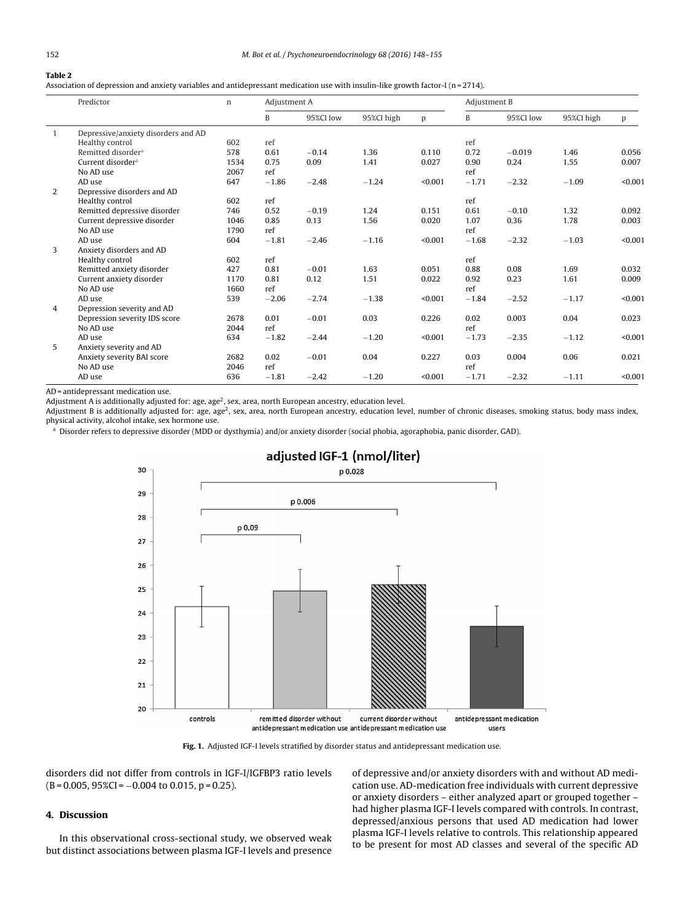### <span id="page-4-0"></span>**Table 2**

Association of depression and anxiety variables and antidepressant medication use with insulin-like growth factor-I (n = 2714).

|                                  | Predictor                           |      | Adjustment A |           |            | Adjustment B |         |           |            |         |
|----------------------------------|-------------------------------------|------|--------------|-----------|------------|--------------|---------|-----------|------------|---------|
|                                  |                                     |      | B            | 95%CI low | 95%CI high | p            | B       | 95%CI low | 95%CI high | p       |
| 1                                | Depressive/anxiety disorders and AD |      |              |           |            |              |         |           |            |         |
|                                  | Healthy control                     | 602  | ref          |           |            |              | ref     |           |            |         |
|                                  | Remitted disorder <sup>a</sup>      | 578  | 0.61         | $-0.14$   | 1.36       | 0.110        | 0.72    | $-0.019$  | 1.46       | 0.056   |
|                                  | Current disorder <sup>a</sup>       | 1534 | 0.75         | 0.09      | 1.41       | 0.027        | 0.90    | 0.24      | 1.55       | 0.007   |
|                                  | No AD use                           | 2067 | ref          |           |            |              | ref     |           |            |         |
|                                  | AD use                              | 647  | $-1.86$      | $-2.48$   | $-1.24$    | < 0.001      | $-1.71$ | $-2.32$   | $-1.09$    | < 0.001 |
| 2<br>Depressive disorders and AD |                                     |      |              |           |            |              |         |           |            |         |
|                                  | Healthy control                     | 602  | ref          |           |            |              | ref     |           |            |         |
|                                  | Remitted depressive disorder        | 746  | 0.52         | $-0.19$   | 1.24       | 0.151        | 0.61    | $-0.10$   | 1.32       | 0.092   |
|                                  | Current depressive disorder         | 1046 | 0.85         | 0.13      | 1.56       | 0.020        | 1.07    | 0.36      | 1.78       | 0.003   |
|                                  | No AD use                           | 1790 | ref          |           |            |              | ref     |           |            |         |
|                                  | AD use                              | 604  | $-1.81$      | $-2.46$   | $-1.16$    | < 0.001      | $-1.68$ | $-2.32$   | $-1.03$    | < 0.001 |
| 3                                | Anxiety disorders and AD            |      |              |           |            |              |         |           |            |         |
|                                  | Healthy control                     | 602  | ref          |           |            |              | ref     |           |            |         |
|                                  | Remitted anxiety disorder           | 427  | 0.81         | $-0.01$   | 1.63       | 0.051        | 0.88    | 0.08      | 1.69       | 0.032   |
|                                  | Current anxiety disorder            | 1170 | 0.81         | 0.12      | 1.51       | 0.022        | 0.92    | 0.23      | 1.61       | 0.009   |
|                                  | No AD use                           | 1660 | ref          |           |            |              | ref     |           |            |         |
|                                  | AD use                              | 539  | $-2.06$      | $-2.74$   | $-1.38$    | < 0.001      | $-1.84$ | $-2.52$   | $-1.17$    | < 0.001 |
| 4                                | Depression severity and AD          |      |              |           |            |              |         |           |            |         |
|                                  | Depression severity IDS score       | 2678 | 0.01         | $-0.01$   | 0.03       | 0.226        | 0.02    | 0.003     | 0.04       | 0.023   |
|                                  | No AD use                           | 2044 | ref          |           |            |              | ref     |           |            |         |
|                                  | AD use                              | 634  | $-1.82$      | $-2.44$   | $-1.20$    | < 0.001      | $-1.73$ | $-2.35$   | $-1.12$    | < 0.001 |
| 5                                | Anxiety severity and AD             |      |              |           |            |              |         |           |            |         |
|                                  | Anxiety severity BAI score          | 2682 | 0.02         | $-0.01$   | 0.04       | 0.227        | 0.03    | 0.004     | 0.06       | 0.021   |
|                                  | No AD use                           | 2046 | ref          |           |            |              | ref     |           |            |         |
|                                  | AD use                              | 636  | $-1.81$      | $-2.42$   | $-1.20$    | < 0.001      | $-1.71$ | $-2.32$   | $-1.11$    | < 0.001 |

AD = antidepressant medication use.

Adjustment A is additionally adjusted for: age, age<sup>2</sup>, sex, area, north European ancestry, education level.

Adjustment B is additionally adjusted for: age, age<sup>2</sup>, sex, area, north European ancestry, education level, number of chronic diseases, smoking status, body mass index, physical activity, alcohol intake, sex hormone use.

<sup>a</sup> Disorder refers to depressive disorder (MDD or dysthymia) and/or anxiety disorder (social phobia, agoraphobia, panic disorder, GAD).



adjusted IGF-1 (nmol/liter)

**Fig. 1.** Adjusted IGF-I levels stratified by disorder status and antidepressant medication use.

disorders did not differ from controls in IGF-I/IGFBP3 ratio levels  $(B = 0.005, 95\% CI = -0.004$  to 0.015, p = 0.25).

#### **4. Discussion**

In this observational cross-sectional study, we observed weak but distinct associations between plasma IGF-I levels and presence of depressive and/or anxiety disorders with and without AD medication use. AD-medication free individuals with current depressive or anxiety disorders – either analyzed apart or grouped together – had higher plasma IGF-I levels compared with controls. In contrast, depressed/anxious persons that used AD medication had lower plasma IGF-I levels relative to controls. This relationship appeared to be present for most AD classes and several of the specific AD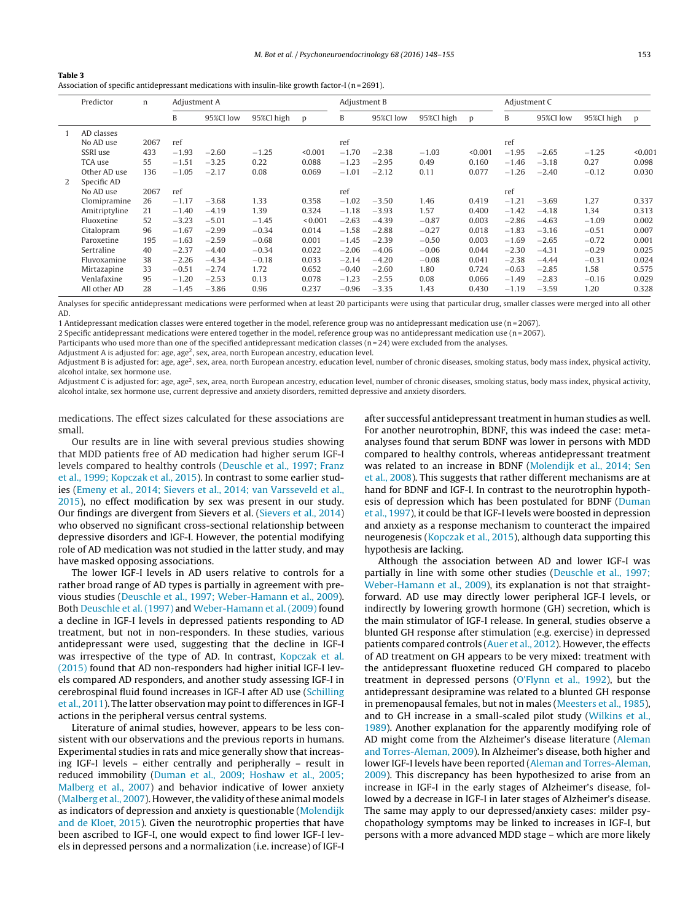<span id="page-5-0"></span>

| н<br>n<br>ı<br>ı<br>ı<br>. . |  |
|------------------------------|--|
|------------------------------|--|

Association of specific antidepressant medications with insulin-like growth factor-I (n = 2691).

|   | Predictor     | n    | Adjustment A |           |            |              | Adjustment B |           |            |         | Adjustment C |           |            |         |
|---|---------------|------|--------------|-----------|------------|--------------|--------------|-----------|------------|---------|--------------|-----------|------------|---------|
|   |               |      | B            | 95%CI low | 95%CI high | p            | B            | 95%CI low | 95%CI high | p       | B            | 95%CI low | 95%CI high | p       |
|   | AD classes    |      |              |           |            |              |              |           |            |         |              |           |            |         |
|   | No AD use     | 2067 | ref          |           |            |              | ref          |           |            |         | ref          |           |            |         |
|   | SSRI use      | 433  | $-1.93$      | $-2.60$   | $-1.25$    | < 0.001      | $-1.70$      | $-2.38$   | $-1.03$    | < 0.001 | $-1.95$      | $-2.65$   | $-1.25$    | < 0.001 |
|   | TCA use       | 55   | $-1.51$      | $-3.25$   | 0.22       | 0.088        | $-1.23$      | $-2.95$   | 0.49       | 0.160   | $-1.46$      | $-3.18$   | 0.27       | 0.098   |
|   | Other AD use  | 136  | $-1.05$      | $-2.17$   | 0.08       | 0.069        | $-1.01$      | $-2.12$   | 0.11       | 0.077   | $-1.26$      | $-2.40$   | $-0.12$    | 0.030   |
| 2 | Specific AD   |      |              |           |            |              |              |           |            |         |              |           |            |         |
|   | No AD use     | 2067 | ref          |           |            |              | ref          |           |            |         | ref          |           |            |         |
|   | Clomipramine  | 26   | $-1.17$      | $-3.68$   | 1.33       | 0.358        | $-1.02$      | $-3.50$   | 1.46       | 0.419   | $-1.21$      | $-3.69$   | 1.27       | 0.337   |
|   | Amitriptyline | 21   | $-1.40$      | $-4.19$   | 1.39       | 0.324        | $-1.18$      | $-3.93$   | 1.57       | 0.400   | $-1.42$      | $-4.18$   | 1.34       | 0.313   |
|   | Fluoxetine    | 52   | $-3.23$      | $-5.01$   | $-1.45$    | ${}_{0.001}$ | $-2.63$      | $-4.39$   | $-0.87$    | 0.003   | $-2.86$      | $-4.63$   | $-1.09$    | 0.002   |
|   | Citalopram    | 96   | $-1.67$      | $-2.99$   | $-0.34$    | 0.014        | $-1.58$      | $-2.88$   | $-0.27$    | 0.018   | $-1.83$      | $-3.16$   | $-0.51$    | 0.007   |
|   | Paroxetine    | 195  | $-1.63$      | $-2.59$   | $-0.68$    | 0.001        | $-1.45$      | $-2.39$   | $-0.50$    | 0.003   | $-1.69$      | $-2.65$   | $-0.72$    | 0.001   |
|   | Sertraline    | 40   | $-2.37$      | $-4.40$   | $-0.34$    | 0.022        | $-2.06$      | $-4.06$   | $-0.06$    | 0.044   | $-2.30$      | $-4.31$   | $-0.29$    | 0.025   |
|   | Fluvoxamine   | 38   | $-2.26$      | $-4.34$   | $-0.18$    | 0.033        | $-2.14$      | $-4.20$   | $-0.08$    | 0.041   | $-2.38$      | $-4.44$   | $-0.31$    | 0.024   |
|   | Mirtazapine   | 33   | $-0.51$      | $-2.74$   | 1.72       | 0.652        | $-0.40$      | $-2.60$   | 1.80       | 0.724   | $-0.63$      | $-2.85$   | 1.58       | 0.575   |
|   | Venlafaxine   | 95   | $-1.20$      | $-2.53$   | 0.13       | 0.078        | $-1.23$      | $-2.55$   | 0.08       | 0.066   | $-1.49$      | $-2.83$   | $-0.16$    | 0.029   |
|   | All other AD  | 28   | $-1.45$      | $-3.86$   | 0.96       | 0.237        | $-0.96$      | $-3.35$   | 1.43       | 0.430   | $-1.19$      | $-3.59$   | 1.20       | 0.328   |

Analyses for specific antidepressant medications were performed when at least 20 participants were using that particular drug, smaller classes were merged into all other AD.

1 Antidepressant medication classes were entered together in the model, reference group was no antidepressant medication use (n = 2067).

2 Specific antidepressant medications were entered together in the model, reference group was no antidepressant medication use (n = 2067).

Participants who used more than one of the specified antidepressant medication classes (n = 24) were excluded from the analyses.

Adjustment A is adjusted for: age, age<sup>2</sup>, sex, area, north European ancestry, education level.

Adjustment B is adjusted for: age, age2, sex, area, north European ancestry, education level, number of chronic diseases, smoking status, body mass index, physical activity, alcohol intake, sex hormone use.

Adjustment C is adjusted for: age, age<sup>2</sup>, sex, area, north European ancestry, education level, number of chronic diseases, smoking status, body mass index, physical activity, alcohol intake, sex hormone use, current depressive and anxiety disorders, remitted depressive and anxiety disorders.

medications. The effect sizes calculated for these associations are small.

Our results are in line with several previous studies showing that MDD patients free of AD medication had higher serum IGF-I levels compared to healthy controls [\(Deuschle](#page-6-0) et [al.,](#page-6-0) [1997;](#page-6-0) [Franz](#page-6-0) et [al.,](#page-6-0) [1999;](#page-6-0) [Kopczak](#page-6-0) et [al.,](#page-6-0) [2015\).](#page-6-0) In contrast to some earlier studies ([Emeny](#page-7-0) et [al.,](#page-7-0) [2014;](#page-7-0) [Sievers](#page-7-0) et [al.,](#page-7-0) [2014;](#page-7-0) [van](#page-7-0) [Varsseveld](#page-7-0) et [al.,](#page-7-0) [2015\),](#page-7-0) no effect modification by sex was present in our study. Our findings are divergent from Sievers et al. ([Sievers](#page-7-0) et [al.,](#page-7-0) [2014\)](#page-7-0) who observed no significant cross-sectional relationship between depressive disorders and IGF-I. However, the potential modifying role of AD medication was not studied in the latter study, and may have masked opposing associations.

The lower IGF-I levels in AD users relative to controls for a rather broad range of AD types is partially in agreement with previous studies [\(Deuschle](#page-6-0) et [al.,](#page-6-0) [1997;](#page-6-0) [Weber-Hamann](#page-6-0) et [al.,](#page-6-0) [2009\).](#page-6-0) Both [Deuschle](#page-6-0) et [al.](#page-6-0) [\(1997\)](#page-6-0) and [Weber-Hamann](#page-7-0) et [al.](#page-7-0) [\(2009\)](#page-7-0) found a decline in IGF-I levels in depressed patients responding to AD treatment, but not in non-responders. In these studies, various antidepressant were used, suggesting that the decline in IGF-I was irrespective of the type of AD. In contrast, [Kopczak](#page-7-0) et [al.](#page-7-0) [\(2015\)](#page-7-0) found that AD non-responders had higher initial IGF-I levels compared AD responders, and another study assessing IGF-I in cerebrospinal fluid found increases in IGF-I after AD use [\(Schilling](#page-7-0) et [al.,](#page-7-0) [2011\).](#page-7-0) The latter observation may point to differences in IGF-I actions in the peripheral versus central systems.

Literature of animal studies, however, appears to be less consistent with our observations and the previous reports in humans. Experimental studies in rats and mice generally show that increasing IGF-I levels – either centrally and peripherally – result in reduced immobility [\(Duman](#page-7-0) et [al.,](#page-7-0) [2009;](#page-7-0) [Hoshaw](#page-7-0) et [al.,](#page-7-0) [2005;](#page-7-0) [Malberg](#page-7-0) et [al.,](#page-7-0) [2007\)](#page-7-0) and behavior indicative of lower anxiety ([Malberg](#page-7-0) et [al.,](#page-7-0) [2007\).](#page-7-0) However, the validity of these animal models as indicators of depression and anxiety is questionable [\(Molendijk](#page-7-0) [and](#page-7-0) [de](#page-7-0) [Kloet,](#page-7-0) [2015\).](#page-7-0) Given the neurotrophic properties that have been ascribed to IGF-I, one would expect to find lower IGF-I levels in depressed persons and a normalization (i.e. increase) of IGF-I after successful antidepressant treatment in human studies as well. For another neurotrophin, BDNF, this was indeed the case: metaanalyses found that serum BDNF was lower in persons with MDD compared to healthy controls, whereas antidepressant treatment was related to an increase in BDNF ([Molendijk](#page-7-0) et [al.,](#page-7-0) [2014;](#page-7-0) [Sen](#page-7-0) et [al.,](#page-7-0) [2008\).](#page-7-0) This suggests that rather different mechanisms are at hand for BDNF and IGF-I. In contrast to the neurotrophin hypoth-esis of depression which has been postulated for BDNF ([Duman](#page-6-0) et [al.,](#page-6-0) [1997\),](#page-6-0) it could be that IGF-I levels were boosted in depression and anxiety as a response mechanism to counteract the impaired neurogenesis ([Kopczak](#page-7-0) et [al.,](#page-7-0) [2015\),](#page-7-0) although data supporting this hypothesis are lacking.

Although the association between AD and lower IGF-I was partially in line with some other studies ([Deuschle](#page-6-0) et [al.,](#page-6-0) [1997;](#page-6-0) [Weber-Hamann](#page-6-0) et [al.,](#page-6-0) [2009\),](#page-6-0) its explanation is not that straightforward. AD use may directly lower peripheral IGF-I levels, or indirectly by lowering growth hormone (GH) secretion, which is the main stimulator of IGF-I release. In general, studies observe a blunted GH response after stimulation (e.g. exercise) in depressed patients compared controls [\(Auer](#page-6-0) et [al.,](#page-6-0) [2012\).](#page-6-0) However, the effects of AD treatment on GH appears to be very mixed: treatment with the antidepressant fluoxetine reduced GH compared to placebo treatment in depressed persons [\(O'Flynn](#page-7-0) et [al.,](#page-7-0) [1992\),](#page-7-0) but the antidepressant desipramine was related to a blunted GH response in premenopausal females, but not in males ([Meesters](#page-7-0) et [al.,](#page-7-0) [1985\),](#page-7-0) and to GH increase in a small-scaled pilot study ([Wilkins](#page-7-0) et [al.,](#page-7-0) [1989\).](#page-7-0) Another explanation for the apparently modifying role of AD might come from the Alzheimer's disease literature [\(Aleman](#page-6-0) [and](#page-6-0) [Torres-Aleman,](#page-6-0) [2009\).](#page-6-0) In Alzheimer's disease, both higher and lower IGF-I levels have been reported ([Aleman](#page-6-0) [and](#page-6-0) [Torres-Aleman,](#page-6-0) [2009\).](#page-6-0) This discrepancy has been hypothesized to arise from an increase in IGF-I in the early stages of Alzheimer's disease, followed by a decrease in IGF-I in later stages of Alzheimer's disease. The same may apply to our depressed/anxiety cases: milder psychopathology symptoms may be linked to increases in IGF-I, but persons with a more advanced MDD stage – which are more likely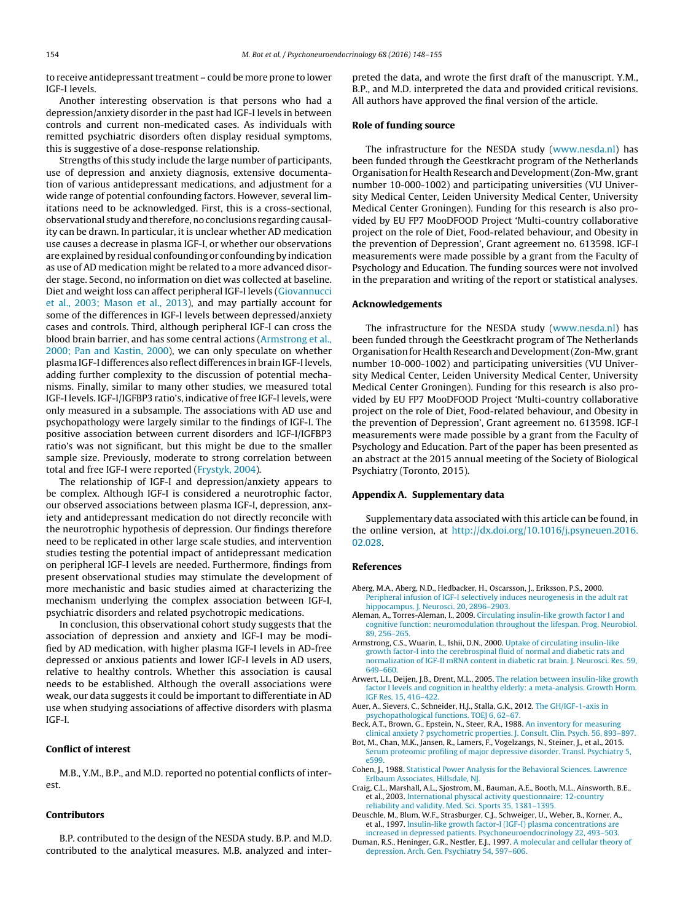<span id="page-6-0"></span>to receive antidepressant treatment – could be more prone to lower IGF-I levels.

Another interesting observation is that persons who had a depression/anxiety disorder in the past had IGF-I levels in between controls and current non-medicated cases. As individuals with remitted psychiatric disorders often display residual symptoms, this is suggestive of a dose-response relationship.

Strengths of this study include the large number of participants, use of depression and anxiety diagnosis, extensive documentation of various antidepressant medications, and adjustment for a wide range of potential confounding factors. However, several limitations need to be acknowledged. First, this is a cross-sectional, observational study and therefore, no conclusions regarding causality can be drawn. In particular, it is unclear whether AD medication use causes a decrease in plasma IGF-I, or whether our observations are explained by residual confounding or confounding by indication as use of AD medication might be related to a more advanced disorder stage. Second, no information on diet was collected at baseline. Diet and weight loss can affect peripheral IGF-I levels [\(Giovannucci](#page-7-0) et [al.,](#page-7-0) [2003;](#page-7-0) [Mason](#page-7-0) et [al.,](#page-7-0) [2013\),](#page-7-0) and may partially account for some of the differences in IGF-I levels between depressed/anxiety cases and controls. Third, although peripheral IGF-I can cross the blood brain barrier, and has some central actions (Armstrong et al., 2000; Pan and Kastin, 2000), we can only speculate on whether plasma IGF-I differences also reflect differences in brain IGF-I levels, adding further complexity to the discussion of potential mechanisms. Finally, similar to many other studies, we measured total IGF-I levels. IGF-I/IGFBP3 ratio's, indicative of free IGF-I levels, were only measured in a subsample. The associations with AD use and psychopathology were largely similar to the findings of IGF-I. The positive association between current disorders and IGF-I/IGFBP3 ratio's was not significant, but this might be due to the smaller sample size. Previously, moderate to strong correlation between total and free IGF-I were reported [\(Frystyk,](#page-7-0) [2004\).](#page-7-0)

The relationship of IGF-I and depression/anxiety appears to be complex. Although IGF-I is considered a neurotrophic factor, our observed associations between plasma IGF-I, depression, anxiety and antidepressant medication do not directly reconcile with the neurotrophic hypothesis of depression. Our findings therefore need to be replicated in other large scale studies, and intervention studies testing the potential impact of antidepressant medication on peripheral IGF-I levels are needed. Furthermore, findings from present observational studies may stimulate the development of more mechanistic and basic studies aimed at characterizing the mechanism underlying the complex association between IGF-I, psychiatric disorders and related psychotropic medications.

In conclusion, this observational cohort study suggests that the association of depression and anxiety and IGF-I may be modified by AD medication, with higher plasma IGF-I levels in AD-free depressed or anxious patients and lower IGF-I levels in AD users, relative to healthy controls. Whether this association is causal needs to be established. Although the overall associations were weak, our data suggests it could be important to differentiate in AD use when studying associations of affective disorders with plasma IGF-I.

#### **Conflict of interest**

M.B., Y.M., B.P., and M.D. reported no potential conflicts of interest.

#### **Contributors**

B.P. contributed to the design of the NESDA study. B.P. and M.D. contributed to the analytical measures. M.B. analyzed and inter-

preted the data, and wrote the first draft of the manuscript. Y.M., B.P., and M.D. interpreted the data and provided critical revisions. All authors have approved the final version of the article.

#### **Role of funding source**

The infrastructure for the NESDA study ([www.nesda.nl\)](http://www.nesda.nl) has been funded through the Geestkracht program of the Netherlands Organisation for Health Research and Development (Zon-Mw, grant number 10-000-1002) and participating universities (VU University Medical Center, Leiden University Medical Center, University Medical Center Groningen). Funding for this research is also provided by EU FP7 MooDFOOD Project 'Multi-country collaborative project on the role of Diet, Food-related behaviour, and Obesity in the prevention of Depression', Grant agreement no. 613598. IGF-I measurements were made possible by a grant from the Faculty of Psychology and Education. The funding sources were not involved in the preparation and writing of the report or statistical analyses.

#### **Acknowledgements**

The infrastructure for the NESDA study ([www.nesda.nl\)](http://www.nesda.nl) has been funded through the Geestkracht program of The Netherlands Organisation for Health Research and Development (Zon-Mw, grant number 10-000-1002) and participating universities (VU University Medical Center, Leiden University Medical Center, University Medical Center Groningen). Funding for this research is also provided by EU FP7 MooDFOOD Project 'Multi-country collaborative project on the role of Diet, Food-related behaviour, and Obesity in the prevention of Depression', Grant agreement no. 613598. IGF-I measurements were made possible by a grant from the Faculty of Psychology and Education. Part of the paper has been presented as an abstract at the 2015 annual meeting of the Society of Biological Psychiatry (Toronto, 2015).

#### **Appendix A. Supplementary data**

Supplementary data associated with this article can be found, in the online version, at [http://dx.doi.org/10.1016/j.psyneuen.2016.](http://dx.doi.org/10.1016/j.psyneuen.2016.02.028) [02.028](http://dx.doi.org/10.1016/j.psyneuen.2016.02.028).

#### **References**

- Aberg, M.A., Aberg, N.D., Hedbacker, H., Oscarsson, J., Eriksson, P.S., 2000. [Peripheral](http://refhub.elsevier.com/S0306-4530(16)30058-0/sbref0005) [infusion](http://refhub.elsevier.com/S0306-4530(16)30058-0/sbref0005) [of](http://refhub.elsevier.com/S0306-4530(16)30058-0/sbref0005) [IGF-I](http://refhub.elsevier.com/S0306-4530(16)30058-0/sbref0005) [selectively](http://refhub.elsevier.com/S0306-4530(16)30058-0/sbref0005) [induces](http://refhub.elsevier.com/S0306-4530(16)30058-0/sbref0005) [neurogenesis](http://refhub.elsevier.com/S0306-4530(16)30058-0/sbref0005) [in](http://refhub.elsevier.com/S0306-4530(16)30058-0/sbref0005) [the](http://refhub.elsevier.com/S0306-4530(16)30058-0/sbref0005) [adult](http://refhub.elsevier.com/S0306-4530(16)30058-0/sbref0005) [rat](http://refhub.elsevier.com/S0306-4530(16)30058-0/sbref0005) [hippocampus.](http://refhub.elsevier.com/S0306-4530(16)30058-0/sbref0005) [J.](http://refhub.elsevier.com/S0306-4530(16)30058-0/sbref0005) [Neurosci.](http://refhub.elsevier.com/S0306-4530(16)30058-0/sbref0005) [20,](http://refhub.elsevier.com/S0306-4530(16)30058-0/sbref0005) [2896](http://refhub.elsevier.com/S0306-4530(16)30058-0/sbref0005)–[2903.](http://refhub.elsevier.com/S0306-4530(16)30058-0/sbref0005)
- Aleman, A., Torres-Aleman, I., 2009. [Circulating](http://refhub.elsevier.com/S0306-4530(16)30058-0/sbref0010) [insulin-like](http://refhub.elsevier.com/S0306-4530(16)30058-0/sbref0010) [growth](http://refhub.elsevier.com/S0306-4530(16)30058-0/sbref0010) [factor](http://refhub.elsevier.com/S0306-4530(16)30058-0/sbref0010) [I](http://refhub.elsevier.com/S0306-4530(16)30058-0/sbref0010) [and](http://refhub.elsevier.com/S0306-4530(16)30058-0/sbref0010) [cognitive](http://refhub.elsevier.com/S0306-4530(16)30058-0/sbref0010) [function:](http://refhub.elsevier.com/S0306-4530(16)30058-0/sbref0010) [neuromodulation](http://refhub.elsevier.com/S0306-4530(16)30058-0/sbref0010) [throughout](http://refhub.elsevier.com/S0306-4530(16)30058-0/sbref0010) [the](http://refhub.elsevier.com/S0306-4530(16)30058-0/sbref0010) [lifespan.](http://refhub.elsevier.com/S0306-4530(16)30058-0/sbref0010) [Prog.](http://refhub.elsevier.com/S0306-4530(16)30058-0/sbref0010) [Neurobiol.](http://refhub.elsevier.com/S0306-4530(16)30058-0/sbref0010) [89,](http://refhub.elsevier.com/S0306-4530(16)30058-0/sbref0010) [256–265.](http://refhub.elsevier.com/S0306-4530(16)30058-0/sbref0010)
- Armstrong, C.S., Wuarin, L., Ishii, D.N., 2000. [Uptake](http://refhub.elsevier.com/S0306-4530(16)30058-0/sbref0015) [of](http://refhub.elsevier.com/S0306-4530(16)30058-0/sbref0015) [circulating](http://refhub.elsevier.com/S0306-4530(16)30058-0/sbref0015) [insulin-like](http://refhub.elsevier.com/S0306-4530(16)30058-0/sbref0015) [growth](http://refhub.elsevier.com/S0306-4530(16)30058-0/sbref0015) [factor-I](http://refhub.elsevier.com/S0306-4530(16)30058-0/sbref0015) [into](http://refhub.elsevier.com/S0306-4530(16)30058-0/sbref0015) [the](http://refhub.elsevier.com/S0306-4530(16)30058-0/sbref0015) [cerebrospinal](http://refhub.elsevier.com/S0306-4530(16)30058-0/sbref0015) [fluid](http://refhub.elsevier.com/S0306-4530(16)30058-0/sbref0015) [of](http://refhub.elsevier.com/S0306-4530(16)30058-0/sbref0015) [normal](http://refhub.elsevier.com/S0306-4530(16)30058-0/sbref0015) [and](http://refhub.elsevier.com/S0306-4530(16)30058-0/sbref0015) [diabetic](http://refhub.elsevier.com/S0306-4530(16)30058-0/sbref0015) [rats](http://refhub.elsevier.com/S0306-4530(16)30058-0/sbref0015) [and](http://refhub.elsevier.com/S0306-4530(16)30058-0/sbref0015) [normalization](http://refhub.elsevier.com/S0306-4530(16)30058-0/sbref0015) [of](http://refhub.elsevier.com/S0306-4530(16)30058-0/sbref0015) [IGF-II](http://refhub.elsevier.com/S0306-4530(16)30058-0/sbref0015) [mRNA](http://refhub.elsevier.com/S0306-4530(16)30058-0/sbref0015) [content](http://refhub.elsevier.com/S0306-4530(16)30058-0/sbref0015) [in](http://refhub.elsevier.com/S0306-4530(16)30058-0/sbref0015) [diabetic](http://refhub.elsevier.com/S0306-4530(16)30058-0/sbref0015) [rat](http://refhub.elsevier.com/S0306-4530(16)30058-0/sbref0015) [brain.](http://refhub.elsevier.com/S0306-4530(16)30058-0/sbref0015) [J.](http://refhub.elsevier.com/S0306-4530(16)30058-0/sbref0015) [Neurosci.](http://refhub.elsevier.com/S0306-4530(16)30058-0/sbref0015) [Res.](http://refhub.elsevier.com/S0306-4530(16)30058-0/sbref0015) [59,](http://refhub.elsevier.com/S0306-4530(16)30058-0/sbref0015) [649–660.](http://refhub.elsevier.com/S0306-4530(16)30058-0/sbref0015)
- Arwert, L.I., Deijen, J.B., Drent, M.L., 2005. [The](http://refhub.elsevier.com/S0306-4530(16)30058-0/sbref0020) [relation](http://refhub.elsevier.com/S0306-4530(16)30058-0/sbref0020) [between](http://refhub.elsevier.com/S0306-4530(16)30058-0/sbref0020) [insulin-like](http://refhub.elsevier.com/S0306-4530(16)30058-0/sbref0020) [growth](http://refhub.elsevier.com/S0306-4530(16)30058-0/sbref0020) [factor](http://refhub.elsevier.com/S0306-4530(16)30058-0/sbref0020) [I](http://refhub.elsevier.com/S0306-4530(16)30058-0/sbref0020) [levels](http://refhub.elsevier.com/S0306-4530(16)30058-0/sbref0020) [and](http://refhub.elsevier.com/S0306-4530(16)30058-0/sbref0020) [cognition](http://refhub.elsevier.com/S0306-4530(16)30058-0/sbref0020) [in](http://refhub.elsevier.com/S0306-4530(16)30058-0/sbref0020) [healthy](http://refhub.elsevier.com/S0306-4530(16)30058-0/sbref0020) [elderly:](http://refhub.elsevier.com/S0306-4530(16)30058-0/sbref0020) [a](http://refhub.elsevier.com/S0306-4530(16)30058-0/sbref0020) [meta-analysis.](http://refhub.elsevier.com/S0306-4530(16)30058-0/sbref0020) [Growth](http://refhub.elsevier.com/S0306-4530(16)30058-0/sbref0020) [Horm.](http://refhub.elsevier.com/S0306-4530(16)30058-0/sbref0020) [IGF](http://refhub.elsevier.com/S0306-4530(16)30058-0/sbref0020) [Res.](http://refhub.elsevier.com/S0306-4530(16)30058-0/sbref0020) [15,](http://refhub.elsevier.com/S0306-4530(16)30058-0/sbref0020) [416–422.](http://refhub.elsevier.com/S0306-4530(16)30058-0/sbref0020)
- Auer, A., Sievers, C., Schneider, H.J., Stalla, G.K., 2012. [The](http://refhub.elsevier.com/S0306-4530(16)30058-0/sbref0025) [GH/IGF-1-axis](http://refhub.elsevier.com/S0306-4530(16)30058-0/sbref0025) [in](http://refhub.elsevier.com/S0306-4530(16)30058-0/sbref0025) [psychopathological](http://refhub.elsevier.com/S0306-4530(16)30058-0/sbref0025) [functions.](http://refhub.elsevier.com/S0306-4530(16)30058-0/sbref0025) [TOEJ](http://refhub.elsevier.com/S0306-4530(16)30058-0/sbref0025) [6,](http://refhub.elsevier.com/S0306-4530(16)30058-0/sbref0025) [62–67.](http://refhub.elsevier.com/S0306-4530(16)30058-0/sbref0025)

Beck, A.T., Brown, G., Epstein, N., Steer, R.A., 1988. [An](http://refhub.elsevier.com/S0306-4530(16)30058-0/sbref0030) [inventory](http://refhub.elsevier.com/S0306-4530(16)30058-0/sbref0030) [for](http://refhub.elsevier.com/S0306-4530(16)30058-0/sbref0030) [measuring](http://refhub.elsevier.com/S0306-4530(16)30058-0/sbref0030) [clinical](http://refhub.elsevier.com/S0306-4530(16)30058-0/sbref0030) [anxiety](http://refhub.elsevier.com/S0306-4530(16)30058-0/sbref0030) [?](http://refhub.elsevier.com/S0306-4530(16)30058-0/sbref0030) [psychometric](http://refhub.elsevier.com/S0306-4530(16)30058-0/sbref0030) [properties.](http://refhub.elsevier.com/S0306-4530(16)30058-0/sbref0030) [J.](http://refhub.elsevier.com/S0306-4530(16)30058-0/sbref0030) [Consult.](http://refhub.elsevier.com/S0306-4530(16)30058-0/sbref0030) [Clin.](http://refhub.elsevier.com/S0306-4530(16)30058-0/sbref0030) [Psych.](http://refhub.elsevier.com/S0306-4530(16)30058-0/sbref0030) [56,](http://refhub.elsevier.com/S0306-4530(16)30058-0/sbref0030) [893–897.](http://refhub.elsevier.com/S0306-4530(16)30058-0/sbref0030)

- Bot, M., Chan, M.K., Jansen, R., Lamers, F., Vogelzangs, N., Steiner, J., et al., 2015. [Serum](http://refhub.elsevier.com/S0306-4530(16)30058-0/sbref0035) [proteomic](http://refhub.elsevier.com/S0306-4530(16)30058-0/sbref0035) [profiling](http://refhub.elsevier.com/S0306-4530(16)30058-0/sbref0035) [of](http://refhub.elsevier.com/S0306-4530(16)30058-0/sbref0035) [major](http://refhub.elsevier.com/S0306-4530(16)30058-0/sbref0035) [depressive](http://refhub.elsevier.com/S0306-4530(16)30058-0/sbref0035) [disorder.](http://refhub.elsevier.com/S0306-4530(16)30058-0/sbref0035) [Transl.](http://refhub.elsevier.com/S0306-4530(16)30058-0/sbref0035) [Psychiatry](http://refhub.elsevier.com/S0306-4530(16)30058-0/sbref0035) [5,](http://refhub.elsevier.com/S0306-4530(16)30058-0/sbref0035) [e599.](http://refhub.elsevier.com/S0306-4530(16)30058-0/sbref0035)
- Cohen, J., 1988. [Statistical](http://refhub.elsevier.com/S0306-4530(16)30058-0/sbref0040) [Power](http://refhub.elsevier.com/S0306-4530(16)30058-0/sbref0040) [Analysis](http://refhub.elsevier.com/S0306-4530(16)30058-0/sbref0040) [for](http://refhub.elsevier.com/S0306-4530(16)30058-0/sbref0040) [the](http://refhub.elsevier.com/S0306-4530(16)30058-0/sbref0040) [Behavioral](http://refhub.elsevier.com/S0306-4530(16)30058-0/sbref0040) [Sciences.](http://refhub.elsevier.com/S0306-4530(16)30058-0/sbref0040) [Lawrence](http://refhub.elsevier.com/S0306-4530(16)30058-0/sbref0040) [Erlbaum](http://refhub.elsevier.com/S0306-4530(16)30058-0/sbref0040) [Associates,](http://refhub.elsevier.com/S0306-4530(16)30058-0/sbref0040) [Hillsdale,](http://refhub.elsevier.com/S0306-4530(16)30058-0/sbref0040) [NJ.](http://refhub.elsevier.com/S0306-4530(16)30058-0/sbref0040)
- Craig, C.L., Marshall, A.L., Sjostrom, M., Bauman, A.E., Booth, M.L., Ainsworth, B.E., et al., 2003. [International](http://refhub.elsevier.com/S0306-4530(16)30058-0/sbref0045) [physical](http://refhub.elsevier.com/S0306-4530(16)30058-0/sbref0045) [activity](http://refhub.elsevier.com/S0306-4530(16)30058-0/sbref0045) [questionnaire:](http://refhub.elsevier.com/S0306-4530(16)30058-0/sbref0045) [12-country](http://refhub.elsevier.com/S0306-4530(16)30058-0/sbref0045) [reliability](http://refhub.elsevier.com/S0306-4530(16)30058-0/sbref0045) [and](http://refhub.elsevier.com/S0306-4530(16)30058-0/sbref0045) [validity.](http://refhub.elsevier.com/S0306-4530(16)30058-0/sbref0045) [Med.](http://refhub.elsevier.com/S0306-4530(16)30058-0/sbref0045) [Sci.](http://refhub.elsevier.com/S0306-4530(16)30058-0/sbref0045) [Sports](http://refhub.elsevier.com/S0306-4530(16)30058-0/sbref0045) [35,](http://refhub.elsevier.com/S0306-4530(16)30058-0/sbref0045) [1381](http://refhub.elsevier.com/S0306-4530(16)30058-0/sbref0045)–[1395.](http://refhub.elsevier.com/S0306-4530(16)30058-0/sbref0045)
- Deuschle, M., Blum, W.F., Strasburger, C.J., Schweiger, U., Weber, B., Korner, A., et al., 1997. [Insulin-like](http://refhub.elsevier.com/S0306-4530(16)30058-0/sbref0050) [growth](http://refhub.elsevier.com/S0306-4530(16)30058-0/sbref0050) [factor-I](http://refhub.elsevier.com/S0306-4530(16)30058-0/sbref0050) [\(IGF-I\)](http://refhub.elsevier.com/S0306-4530(16)30058-0/sbref0050) [plasma](http://refhub.elsevier.com/S0306-4530(16)30058-0/sbref0050) [concentrations](http://refhub.elsevier.com/S0306-4530(16)30058-0/sbref0050) [are](http://refhub.elsevier.com/S0306-4530(16)30058-0/sbref0050) [increased](http://refhub.elsevier.com/S0306-4530(16)30058-0/sbref0050) [in](http://refhub.elsevier.com/S0306-4530(16)30058-0/sbref0050) [depressed](http://refhub.elsevier.com/S0306-4530(16)30058-0/sbref0050) [patients.](http://refhub.elsevier.com/S0306-4530(16)30058-0/sbref0050) [Psychoneuroendocrinology](http://refhub.elsevier.com/S0306-4530(16)30058-0/sbref0050) [22,](http://refhub.elsevier.com/S0306-4530(16)30058-0/sbref0050) [493](http://refhub.elsevier.com/S0306-4530(16)30058-0/sbref0050)–[503.](http://refhub.elsevier.com/S0306-4530(16)30058-0/sbref0050)
- Duman, R.S., Heninger, G.R., Nestler, E.J., 1997. [A](http://refhub.elsevier.com/S0306-4530(16)30058-0/sbref0055) [molecular](http://refhub.elsevier.com/S0306-4530(16)30058-0/sbref0055) [and](http://refhub.elsevier.com/S0306-4530(16)30058-0/sbref0055) [cellular](http://refhub.elsevier.com/S0306-4530(16)30058-0/sbref0055) [theory](http://refhub.elsevier.com/S0306-4530(16)30058-0/sbref0055) [of](http://refhub.elsevier.com/S0306-4530(16)30058-0/sbref0055) [depression.](http://refhub.elsevier.com/S0306-4530(16)30058-0/sbref0055) [Arch.](http://refhub.elsevier.com/S0306-4530(16)30058-0/sbref0055) [Gen.](http://refhub.elsevier.com/S0306-4530(16)30058-0/sbref0055) [Psychiatry](http://refhub.elsevier.com/S0306-4530(16)30058-0/sbref0055) [54,](http://refhub.elsevier.com/S0306-4530(16)30058-0/sbref0055) [597](http://refhub.elsevier.com/S0306-4530(16)30058-0/sbref0055)–[606.](http://refhub.elsevier.com/S0306-4530(16)30058-0/sbref0055)